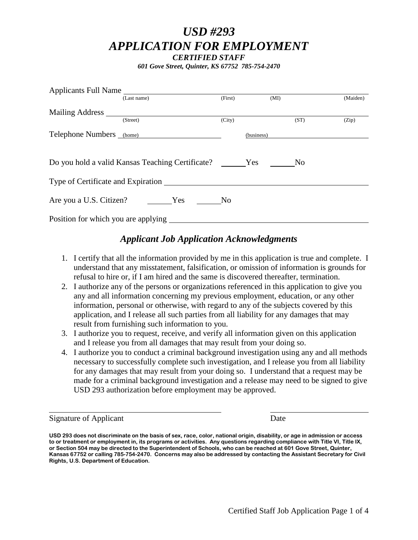# *USD #293 APPLICATION FOR EMPLOYMENT CERTIFIED STAFF*

*601 Gove Street, Quinter, KS 67752 785-754-2470*

| Applicants Full Name                      |                                                  |                |                       |          |
|-------------------------------------------|--------------------------------------------------|----------------|-----------------------|----------|
|                                           | (Last name)                                      | (First)        | (MI)                  | (Maiden) |
|                                           |                                                  |                |                       |          |
|                                           | (Street)                                         | (City)         | (ST)                  | (Zip)    |
| Telephone Numbers (home)                  |                                                  |                | (business)            |          |
|                                           | Do you hold a valid Kansas Teaching Certificate? |                | Yes<br>N <sub>0</sub> |          |
| Type of Certificate and Expiration ______ |                                                  |                |                       |          |
| Are you a U.S. Citizen?                   | Yes                                              | N <sub>0</sub> |                       |          |
| Position for which you are applying       |                                                  |                |                       |          |

# *Applicant Job Application Acknowledgments*

- 1. I certify that all the information provided by me in this application is true and complete. I understand that any misstatement, falsification, or omission of information is grounds for refusal to hire or, if I am hired and the same is discovered thereafter, termination.
- 2. I authorize any of the persons or organizations referenced in this application to give you any and all information concerning my previous employment, education, or any other information, personal or otherwise, with regard to any of the subjects covered by this application, and I release all such parties from all liability for any damages that may result from furnishing such information to you.
- 3. I authorize you to request, receive, and verify all information given on this application and I release you from all damages that may result from your doing so.
- 4. I authorize you to conduct a criminal background investigation using any and all methods necessary to successfully complete such investigation, and I release you from all liability for any damages that may result from your doing so. I understand that a request may be made for a criminal background investigation and a release may need to be signed to give USD 293 authorization before employment may be approved.

Signature of Applicant Date

**USD 293 does not discriminate on the basis of sex, race, color, national origin, disability, or age in admission or access to or treatment or employment in, its programs or activities. Any questions regarding compliance with Title VI, Title IX, or Section 504 may be directed to the Superintendent of Schools, who can be reached at 601 Gove Street, Quinter, Kansas 67752 or calling 785-754-2470. Concerns may also be addressed by contacting the Assistant Secretary for Civil Rights, U.S. Department of Education.**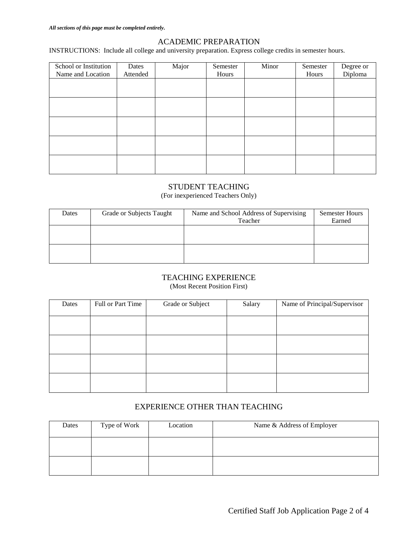#### ACADEMIC PREPARATION

INSTRUCTIONS: Include all college and university preparation. Express college credits in semester hours.

| School or Institution<br>Name and Location | Dates<br>Attended | Major | Semester<br>Hours | Minor | Semester<br>Hours | Degree or<br>Diploma |
|--------------------------------------------|-------------------|-------|-------------------|-------|-------------------|----------------------|
|                                            |                   |       |                   |       |                   |                      |
|                                            |                   |       |                   |       |                   |                      |
|                                            |                   |       |                   |       |                   |                      |
|                                            |                   |       |                   |       |                   |                      |
|                                            |                   |       |                   |       |                   |                      |
|                                            |                   |       |                   |       |                   |                      |
|                                            |                   |       |                   |       |                   |                      |
|                                            |                   |       |                   |       |                   |                      |
|                                            |                   |       |                   |       |                   |                      |

## STUDENT TEACHING

(For inexperienced Teachers Only)

| Dates | Grade or Subjects Taught | Name and School Address of Supervising | <b>Semester Hours</b> |
|-------|--------------------------|----------------------------------------|-----------------------|
|       |                          | Teacher                                | Earned                |
|       |                          |                                        |                       |
|       |                          |                                        |                       |
|       |                          |                                        |                       |
|       |                          |                                        |                       |
|       |                          |                                        |                       |

#### TEACHING EXPERIENCE

(Most Recent Position First)

| Dates | Full or Part Time | Grade or Subject | Salary | Name of Principal/Supervisor |
|-------|-------------------|------------------|--------|------------------------------|
|       |                   |                  |        |                              |
|       |                   |                  |        |                              |
|       |                   |                  |        |                              |
|       |                   |                  |        |                              |

# EXPERIENCE OTHER THAN TEACHING

| Dates | Type of Work | Location | Name & Address of Employer |
|-------|--------------|----------|----------------------------|
|       |              |          |                            |
|       |              |          |                            |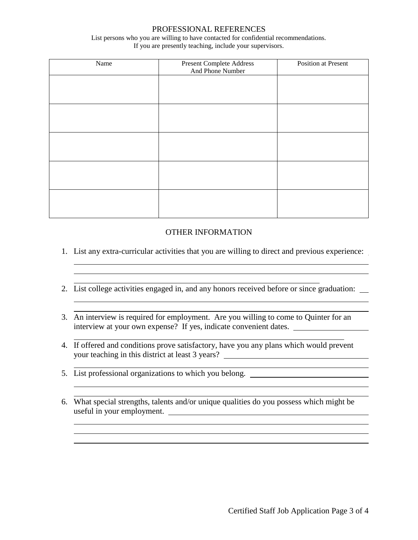#### PROFESSIONAL REFERENCES

List persons who you are willing to have contacted for confidential recommendations. If you are presently teaching, include your supervisors.

| Name | <b>Present Complete Address</b><br>And Phone Number | <b>Position at Present</b> |
|------|-----------------------------------------------------|----------------------------|
|      |                                                     |                            |
|      |                                                     |                            |
|      |                                                     |                            |
|      |                                                     |                            |
|      |                                                     |                            |
|      |                                                     |                            |
|      |                                                     |                            |
|      |                                                     |                            |
|      |                                                     |                            |
|      |                                                     |                            |

#### OTHER INFORMATION

1. List any extra-curricular activities that you are willing to direct and previous experience:

<u> 1989 - Johann Stoff, deutscher Stoffen und der Stoffen und der Stoffen und der Stoffen und der Stoffen und der</u>

<u> 1989 - Johann Stoff, deutscher Stoffen und der Stoffen und der Stoffen und der Stoffen und der Stoffen und d</u>

- 2. List college activities engaged in, and any honors received before or since graduation:
- 3. An interview is required for employment. Are you willing to come to Quinter for an interview at your own expense? If yes, indicate convenient dates.
- 4. If offered and conditions prove satisfactory, have you any plans which would prevent your teaching in this district at least 3 years?
- 5. List professional organizations to which you belong.
- 6. What special strengths, talents and/or unique qualities do you possess which might be useful in your employment.